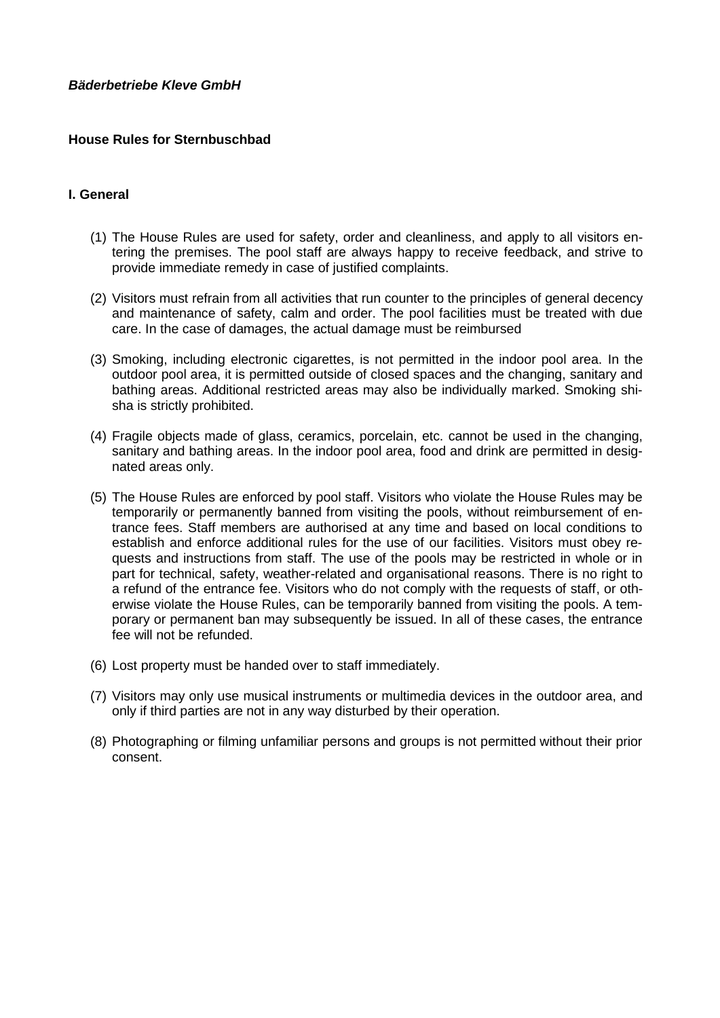# *Bäderbetriebe Kleve GmbH*

## **House Rules for Sternbuschbad**

### **I. General**

- (1) The House Rules are used for safety, order and cleanliness, and apply to all visitors entering the premises. The pool staff are always happy to receive feedback, and strive to provide immediate remedy in case of justified complaints.
- (2) Visitors must refrain from all activities that run counter to the principles of general decency and maintenance of safety, calm and order. The pool facilities must be treated with due care. In the case of damages, the actual damage must be reimbursed
- (3) Smoking, including electronic cigarettes, is not permitted in the indoor pool area. In the outdoor pool area, it is permitted outside of closed spaces and the changing, sanitary and bathing areas. Additional restricted areas may also be individually marked. Smoking shisha is strictly prohibited.
- (4) Fragile objects made of glass, ceramics, porcelain, etc. cannot be used in the changing, sanitary and bathing areas. In the indoor pool area, food and drink are permitted in designated areas only.
- (5) The House Rules are enforced by pool staff. Visitors who violate the House Rules may be temporarily or permanently banned from visiting the pools, without reimbursement of entrance fees. Staff members are authorised at any time and based on local conditions to establish and enforce additional rules for the use of our facilities. Visitors must obey requests and instructions from staff. The use of the pools may be restricted in whole or in part for technical, safety, weather-related and organisational reasons. There is no right to a refund of the entrance fee. Visitors who do not comply with the requests of staff, or otherwise violate the House Rules, can be temporarily banned from visiting the pools. A temporary or permanent ban may subsequently be issued. In all of these cases, the entrance fee will not be refunded.
- (6) Lost property must be handed over to staff immediately.
- (7) Visitors may only use musical instruments or multimedia devices in the outdoor area, and only if third parties are not in any way disturbed by their operation.
- (8) Photographing or filming unfamiliar persons and groups is not permitted without their prior consent.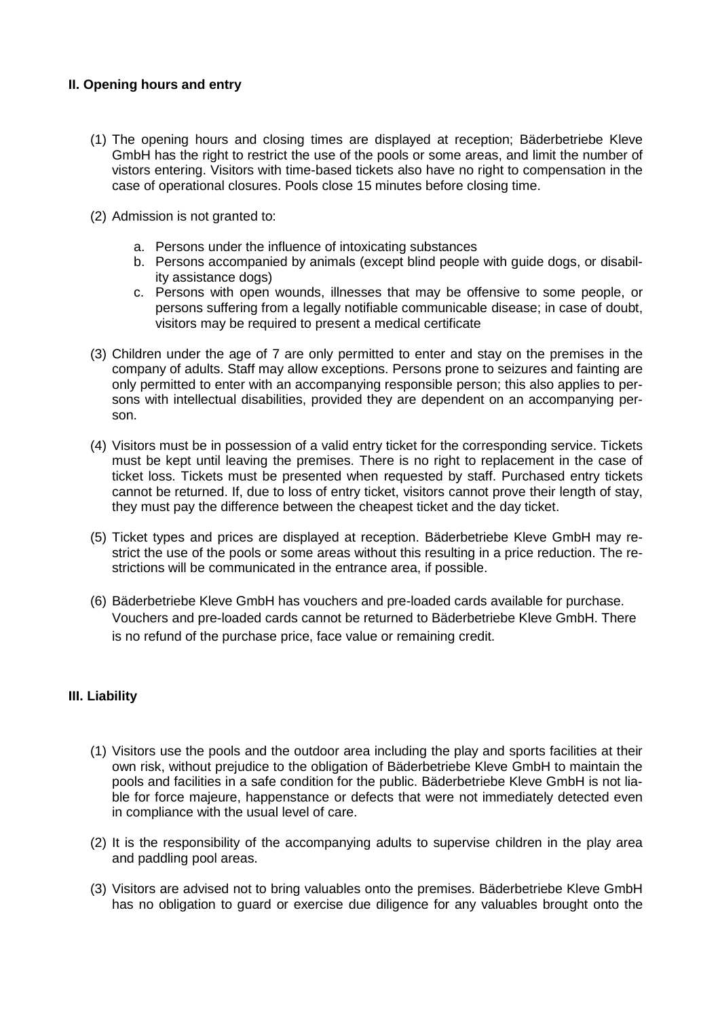# **II. Opening hours and entry**

- (1) The opening hours and closing times are displayed at reception; Bäderbetriebe Kleve GmbH has the right to restrict the use of the pools or some areas, and limit the number of vistors entering. Visitors with time-based tickets also have no right to compensation in the case of operational closures. Pools close 15 minutes before closing time.
- (2) Admission is not granted to:
	- a. Persons under the influence of intoxicating substances
	- b. Persons accompanied by animals (except blind people with guide dogs, or disability assistance dogs)
	- c. Persons with open wounds, illnesses that may be offensive to some people, or persons suffering from a legally notifiable communicable disease; in case of doubt, visitors may be required to present a medical certificate
- (3) Children under the age of 7 are only permitted to enter and stay on the premises in the company of adults. Staff may allow exceptions. Persons prone to seizures and fainting are only permitted to enter with an accompanying responsible person; this also applies to persons with intellectual disabilities, provided they are dependent on an accompanying person.
- (4) Visitors must be in possession of a valid entry ticket for the corresponding service. Tickets must be kept until leaving the premises. There is no right to replacement in the case of ticket loss. Tickets must be presented when requested by staff. Purchased entry tickets cannot be returned. If, due to loss of entry ticket, visitors cannot prove their length of stay, they must pay the difference between the cheapest ticket and the day ticket.
- (5) Ticket types and prices are displayed at reception. Bäderbetriebe Kleve GmbH may restrict the use of the pools or some areas without this resulting in a price reduction. The restrictions will be communicated in the entrance area, if possible.
- (6) Bäderbetriebe Kleve GmbH has vouchers and pre-loaded cards available for purchase. Vouchers and pre-loaded cards cannot be returned to Bäderbetriebe Kleve GmbH. There is no refund of the purchase price, face value or remaining credit.

# **III. Liability**

- (1) Visitors use the pools and the outdoor area including the play and sports facilities at their own risk, without prejudice to the obligation of Bäderbetriebe Kleve GmbH to maintain the pools and facilities in a safe condition for the public. Bäderbetriebe Kleve GmbH is not liable for force majeure, happenstance or defects that were not immediately detected even in compliance with the usual level of care.
- (2) It is the responsibility of the accompanying adults to supervise children in the play area and paddling pool areas.
- (3) Visitors are advised not to bring valuables onto the premises. Bäderbetriebe Kleve GmbH has no obligation to guard or exercise due diligence for any valuables brought onto the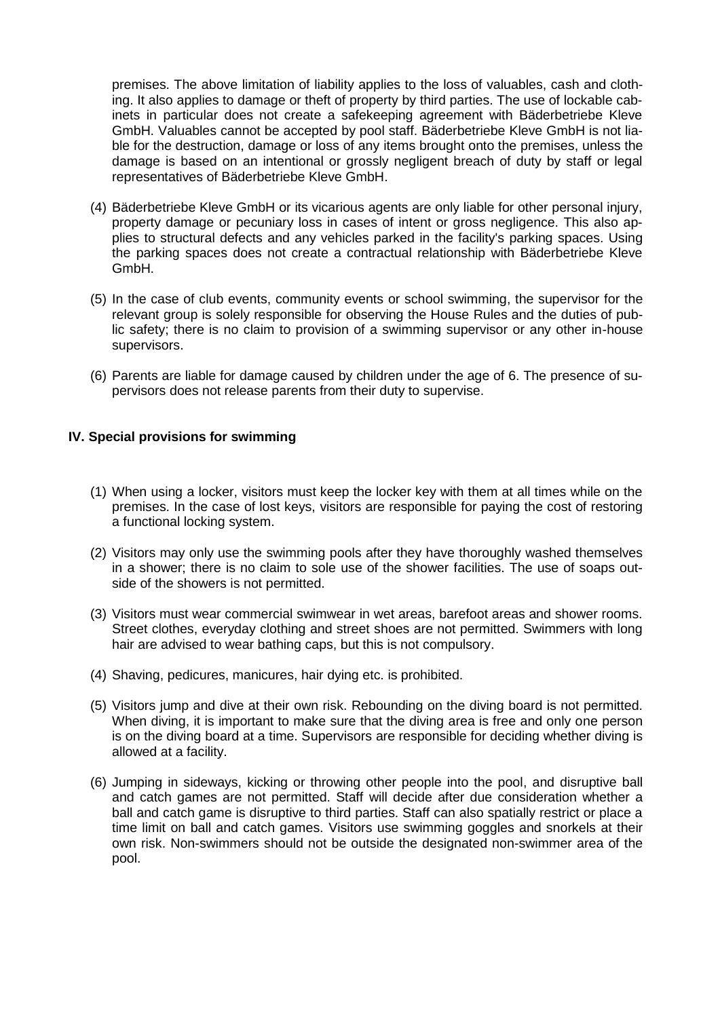premises. The above limitation of liability applies to the loss of valuables, cash and clothing. It also applies to damage or theft of property by third parties. The use of lockable cabinets in particular does not create a safekeeping agreement with Bäderbetriebe Kleve GmbH. Valuables cannot be accepted by pool staff. Bäderbetriebe Kleve GmbH is not liable for the destruction, damage or loss of any items brought onto the premises, unless the damage is based on an intentional or grossly negligent breach of duty by staff or legal representatives of Bäderbetriebe Kleve GmbH.

- (4) Bäderbetriebe Kleve GmbH or its vicarious agents are only liable for other personal injury, property damage or pecuniary loss in cases of intent or gross negligence. This also applies to structural defects and any vehicles parked in the facility's parking spaces. Using the parking spaces does not create a contractual relationship with Bäderbetriebe Kleve GmbH.
- (5) In the case of club events, community events or school swimming, the supervisor for the relevant group is solely responsible for observing the House Rules and the duties of public safety; there is no claim to provision of a swimming supervisor or any other in-house supervisors.
- (6) Parents are liable for damage caused by children under the age of 6. The presence of supervisors does not release parents from their duty to supervise.

### **IV. Special provisions for swimming**

- (1) When using a locker, visitors must keep the locker key with them at all times while on the premises. In the case of lost keys, visitors are responsible for paying the cost of restoring a functional locking system.
- (2) Visitors may only use the swimming pools after they have thoroughly washed themselves in a shower; there is no claim to sole use of the shower facilities. The use of soaps outside of the showers is not permitted.
- (3) Visitors must wear commercial swimwear in wet areas, barefoot areas and shower rooms. Street clothes, everyday clothing and street shoes are not permitted. Swimmers with long hair are advised to wear bathing caps, but this is not compulsory.
- (4) Shaving, pedicures, manicures, hair dying etc. is prohibited.
- (5) Visitors jump and dive at their own risk. Rebounding on the diving board is not permitted. When diving, it is important to make sure that the diving area is free and only one person is on the diving board at a time. Supervisors are responsible for deciding whether diving is allowed at a facility.
- (6) Jumping in sideways, kicking or throwing other people into the pool, and disruptive ball and catch games are not permitted. Staff will decide after due consideration whether a ball and catch game is disruptive to third parties. Staff can also spatially restrict or place a time limit on ball and catch games. Visitors use swimming goggles and snorkels at their own risk. Non-swimmers should not be outside the designated non-swimmer area of the pool.